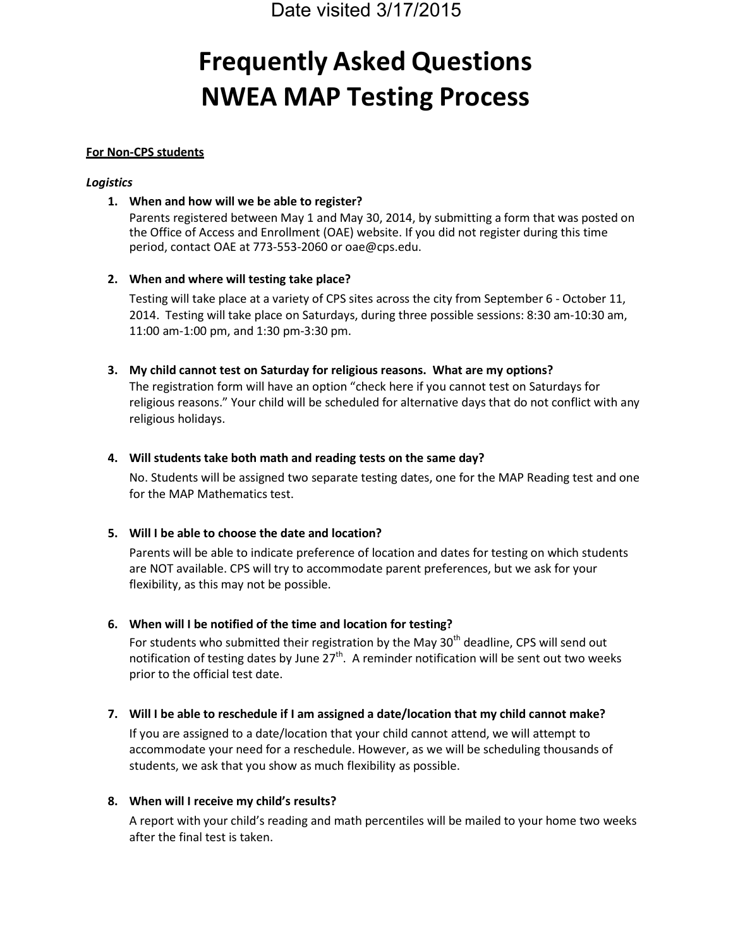# **Frequently Asked Questions NWEA MAP Testing Process**

## **For Non-CPS students**

## *Logistics*

# **1. When and how will we be able to register?**

Parents registered between May 1 and May 30, 2014, by submitting a form that was posted on the Office of Access and Enrollment (OAE) website. If you did not register during this time period, contact OAE at 773-553-2060 or oae@cps.edu.

# **2. When and where will testing take place?**

Testing will take place at a variety of CPS sites across the city from September 6 - October 11, 2014. Testing will take place on Saturdays, during three possible sessions: 8:30 am-10:30 am, 11:00 am-1:00 pm, and 1:30 pm-3:30 pm.

## **3. My child cannot test on Saturday for religious reasons. What are my options?**

The registration form will have an option "check here if you cannot test on Saturdays for religious reasons." Your child will be scheduled for alternative days that do not conflict with any religious holidays.

## **4. Will students take both math and reading tests on the same day?**

No. Students will be assigned two separate testing dates, one for the MAP Reading test and one for the MAP Mathematics test.

# **5. Will I be able to choose the date and location?**

Parents will be able to indicate preference of location and dates for testing on which students are NOT available. CPS will try to accommodate parent preferences, but we ask for your flexibility, as this may not be possible.

# **6. When will I be notified of the time and location for testing?**

For students who submitted their registration by the May  $30<sup>th</sup>$  deadline, CPS will send out notification of testing dates by June 27<sup>th</sup>. A reminder notification will be sent out two weeks prior to the official test date.

# **7. Will I be able to reschedule if I am assigned a date/location that my child cannot make?**

If you are assigned to a date/location that your child cannot attend, we will attempt to accommodate your need for a reschedule. However, as we will be scheduling thousands of students, we ask that you show as much flexibility as possible.

# **8. When will I receive my child's results?**

A report with your child's reading and math percentiles will be mailed to your home two weeks after the final test is taken.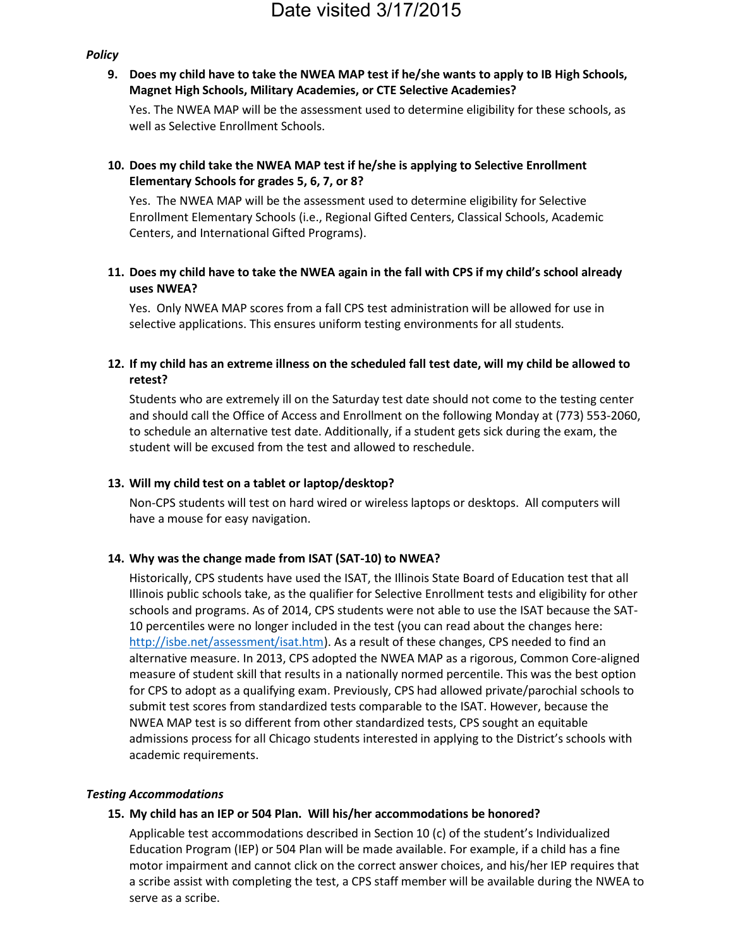### *Policy*

**9. Does my child have to take the NWEA MAP test if he/she wants to apply to IB High Schools, Magnet High Schools, Military Academies, or CTE Selective Academies?**

Yes. The NWEA MAP will be the assessment used to determine eligibility for these schools, as well as Selective Enrollment Schools.

# **10. Does my child take the NWEA MAP test if he/she is applying to Selective Enrollment Elementary Schools for grades 5, 6, 7, or 8?**

Yes. The NWEA MAP will be the assessment used to determine eligibility for Selective Enrollment Elementary Schools (i.e., Regional Gifted Centers, Classical Schools, Academic Centers, and International Gifted Programs).

# **11. Does my child have to take the NWEA again in the fall with CPS if my child's school already uses NWEA?**

Yes. Only NWEA MAP scores from a fall CPS test administration will be allowed for use in selective applications. This ensures uniform testing environments for all students.

### **12. If my child has an extreme illness on the scheduled fall test date, will my child be allowed to retest?**

Students who are extremely ill on the Saturday test date should not come to the testing center and should call the Office of Access and Enrollment on the following Monday at (773) 553-2060, to schedule an alternative test date. Additionally, if a student gets sick during the exam, the student will be excused from the test and allowed to reschedule.

### **13. Will my child test on a tablet or laptop/desktop?**

Non-CPS students will test on hard wired or wireless laptops or desktops. All computers will have a mouse for easy navigation.

### **14. Why was the change made from ISAT (SAT-10) to NWEA?**

Historically, CPS students have used the ISAT, the Illinois State Board of Education test that all Illinois public schools take, as the qualifier for Selective Enrollment tests and eligibility for other schools and programs. As of 2014, CPS students were not able to use the ISAT because the SAT-10 percentiles were no longer included in the test (you can read about the changes here: http://isbe.net/assessment/isat.htm). As a result of these changes, CPS needed to find an alternative measure. In 2013, CPS adopted the NWEA MAP as a rigorous, Common Core-aligned measure of student skill that results in a nationally normed percentile. This was the best option for CPS to adopt as a qualifying exam. Previously, CPS had allowed private/parochial schools to submit test scores from standardized tests comparable to the ISAT. However, because the NWEA MAP test is so different from other standardized tests, CPS sought an equitable admissions process for all Chicago students interested in applying to the District's schools with academic requirements.

### *Testing Accommodations*

### **15. My child has an IEP or 504 Plan. Will his/her accommodations be honored?**

Applicable test accommodations described in Section 10 (c) of the student's Individualized Education Program (IEP) or 504 Plan will be made available. For example, if a child has a fine motor impairment and cannot click on the correct answer choices, and his/her IEP requires that a scribe assist with completing the test, a CPS staff member will be available during the NWEA to serve as a scribe.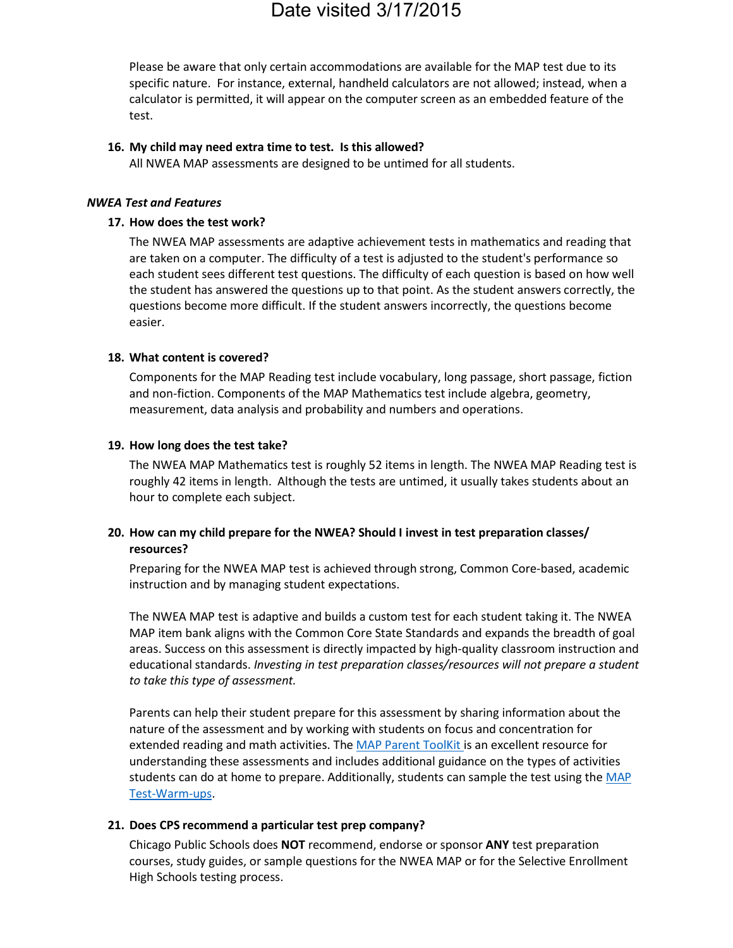Please be aware that only certain accommodations are available for the MAP test due to its specific nature. For instance, external, handheld calculators are not allowed; instead, when a calculator is permitted, it will appear on the computer screen as an embedded feature of the test.

### **16. My child may need extra time to test. Is this allowed?**

All NWEA MAP assessments are designed to be untimed for all students.

### *NWEA Test and Features*

### **17. How does the test work?**

The NWEA MAP assessments are adaptive achievement tests in mathematics and reading that are taken on a computer. The difficulty of a test is adjusted to the student's performance so each student sees different test questions. The difficulty of each question is based on how well the student has answered the questions up to that point. As the student answers correctly, the questions become more difficult. If the student answers incorrectly, the questions become easier.

### **18. What content is covered?**

Components for the MAP Reading test include vocabulary, long passage, short passage, fiction and non-fiction. Components of the MAP Mathematics test include algebra, geometry, measurement, data analysis and probability and numbers and operations.

### **19. How long does the test take?**

The NWEA MAP Mathematics test is roughly 52 items in length. The NWEA MAP Reading test is roughly 42 items in length. Although the tests are untimed, it usually takes students about an hour to complete each subject.

## **20. How can my child prepare for the NWEA? Should I invest in test preparation classes/ resources?**

Preparing for the NWEA MAP test is achieved through strong, Common Core-based, academic instruction and by managing student expectations.

The NWEA MAP test is adaptive and builds a custom test for each student taking it. The NWEA MAP item bank aligns with the Common Core State Standards and expands the breadth of goal areas. Success on this assessment is directly impacted by high-quality classroom instruction and educational standards. *Investing in test preparation classes/resources will not prepare a student to take this type of assessment.*

Parents can help their student prepare for this assessment by sharing information about the nature of the assessment and by working with students on focus and concentration for extended reading and math activities. The MAP Parent ToolKit is an excellent resource for understanding these assessments and includes additional guidance on the types of activities students can do at home to prepare. Additionally, students can sample the test using the MAP Test-Warm-ups.

### **21. Does CPS recommend a particular test prep company?**

Chicago Public Schools does **NOT** recommend, endorse or sponsor **ANY** test preparation courses, study guides, or sample questions for the NWEA MAP or for the Selective Enrollment High Schools testing process.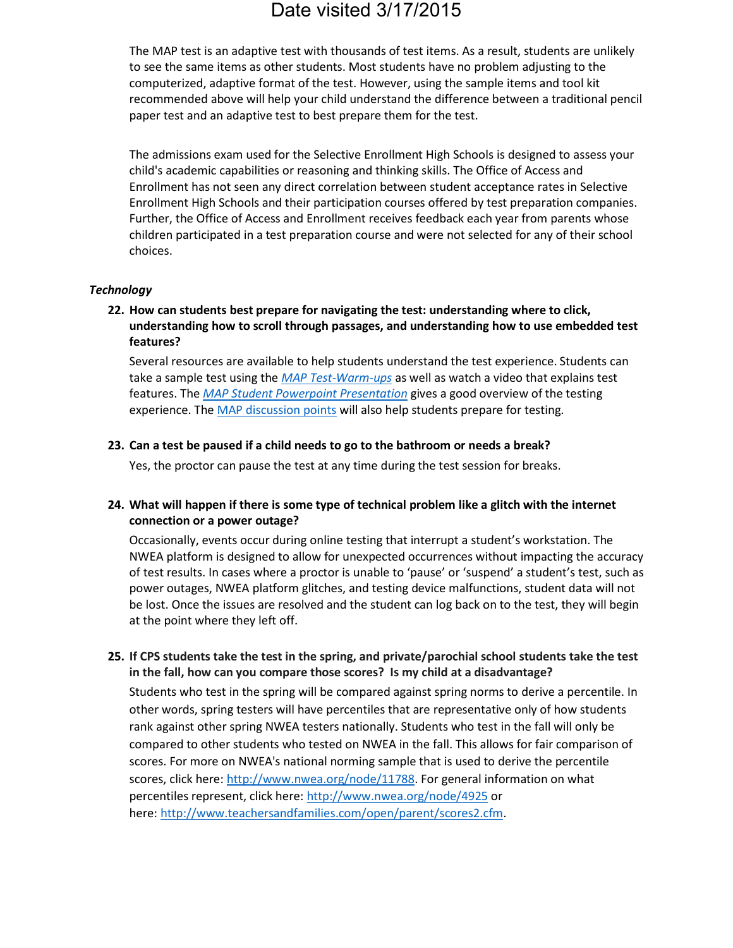The MAP test is an adaptive test with thousands of test items. As a result, students are unlikely to see the same items as other students. Most students have no problem adjusting to the computerized, adaptive format of the test. However, using the sample items and tool kit recommended above will help your child understand the difference between a traditional pencil paper test and an adaptive test to best prepare them for the test.

The admissions exam used for the Selective Enrollment High Schools is designed to assess your child's academic capabilities or reasoning and thinking skills. The Office of Access and Enrollment has not seen any direct correlation between student acceptance rates in Selective Enrollment High Schools and their participation courses offered by test preparation companies. Further, the Office of Access and Enrollment receives feedback each year from parents whose children participated in a test preparation course and were not selected for any of their school choices.

### *Technology*

**22. How can students best prepare for navigating the test: understanding where to click, understanding how to scroll through passages, and understanding how to use embedded test features?**

Several resources are available to help students understand the test experience. Students can take a sample test using the *MAP Test-Warm-ups* as well as watch a video that explains test features. The *MAP Student Powerpoint Presentation* gives a good overview of the testing experience. The MAP discussion points will also help students prepare for testing.

### **23. Can a test be paused if a child needs to go to the bathroom or needs a break?**

Yes, the proctor can pause the test at any time during the test session for breaks.

### **24. What will happen if there is some type of technical problem like a glitch with the internet connection or a power outage?**

Occasionally, events occur during online testing that interrupt a student's workstation. The NWEA platform is designed to allow for unexpected occurrences without impacting the accuracy of test results. In cases where a proctor is unable to 'pause' or 'suspend' a student's test, such as power outages, NWEA platform glitches, and testing device malfunctions, student data will not be lost. Once the issues are resolved and the student can log back on to the test, they will begin at the point where they left off.

## **25. If CPS students take the test in the spring, and private/parochial school students take the test in the fall, how can you compare those scores? Is my child at a disadvantage?**

Students who test in the spring will be compared against spring norms to derive a percentile. In other words, spring testers will have percentiles that are representative only of how students rank against other spring NWEA testers nationally. Students who test in the fall will only be compared to other students who tested on NWEA in the fall. This allows for fair comparison of scores. For more on NWEA's national norming sample that is used to derive the percentile scores, click here: http://www.nwea.org/node/11788. For general information on what percentiles represent, click here: http://www.nwea.org/node/4925 or here: http://www.teachersandfamilies.com/open/parent/scores2.cfm.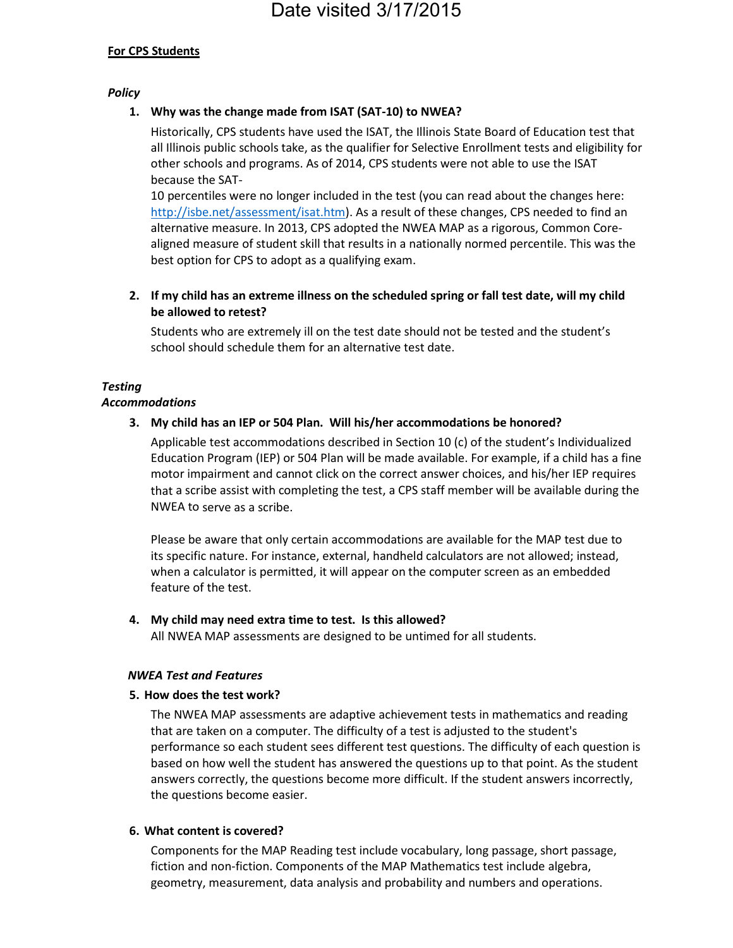### **For CPS Students**

### *Policy*

### **1. Why was the change made from ISAT (SAT-10) to NWEA?**

Historically, CPS students have used the ISAT, the Illinois State Board of Education test that all Illinois public schools take, as the qualifier for Selective Enrollment tests and eligibility for other schools and programs. As of 2014, CPS students were not able to use the ISAT because the SAT-

10 percentiles were no longer included in the test (you can read about the changes here: http://isbe.net/assessment/isat.htm). As a result of these changes, CPS needed to find an alternative measure. In 2013, CPS adopted the NWEA MAP as a rigorous, Common Corealigned measure of student skill that results in a nationally normed percentile. This was the best option for CPS to adopt as a qualifying exam.

**2. If my child has an extreme illness on the scheduled spring or fall test date, will my child be allowed to retest?**

Students who are extremely ill on the test date should not be tested and the student's school should schedule them for an alternative test date.

# *Testing*

### *Accommodations*

### **3. My child has an IEP or 504 Plan. Will his/her accommodations be honored?**

Applicable test accommodations described in Section 10 (c) of the student's Individualized Education Program (IEP) or 504 Plan will be made available. For example, if a child has a fine motor impairment and cannot click on the correct answer choices, and his/her IEP requires that a scribe assist with completing the test, a CPS staff member will be available during the NWEA to serve as a scribe.

Please be aware that only certain accommodations are available for the MAP test due to its specific nature. For instance, external, handheld calculators are not allowed; instead, when a calculator is permitted, it will appear on the computer screen as an embedded feature of the test.

### **4. My child may need extra time to test. Is this allowed?**

All NWEA MAP assessments are designed to be untimed for all students.

### *NWEA Test and Features*

### **5. How does the test work?**

The NWEA MAP assessments are adaptive achievement tests in mathematics and reading that are taken on a computer. The difficulty of a test is adjusted to the student's performance so each student sees different test questions. The difficulty of each question is based on how well the student has answered the questions up to that point. As the student answers correctly, the questions become more difficult. If the student answers incorrectly, the questions become easier.

### **6. What content is covered?**

Components for the MAP Reading test include vocabulary, long passage, short passage, fiction and non-fiction. Components of the MAP Mathematics test include algebra, geometry, measurement, data analysis and probability and numbers and operations.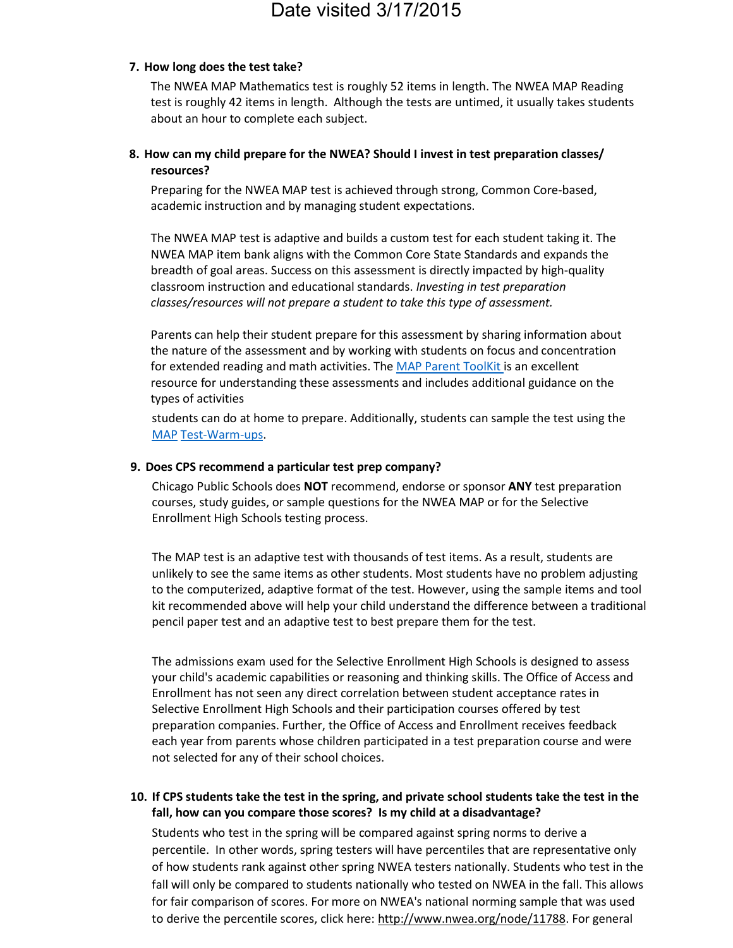### **7. How long does the test take?**

The NWEA MAP Mathematics test is roughly 52 items in length. The NWEA MAP Reading test is roughly 42 items in length. Although the tests are untimed, it usually takes students about an hour to complete each subject.

### **8. How can my child prepare for the NWEA? Should I invest in test preparation classes/ resources?**

Preparing for the NWEA MAP test is achieved through strong, Common Core-based, academic instruction and by managing student expectations.

The NWEA MAP test is adaptive and builds a custom test for each student taking it. The NWEA MAP item bank aligns with the Common Core State Standards and expands the breadth of goal areas. Success on this assessment is directly impacted by high-quality classroom instruction and educational standards. *Investing in test preparation classes/resources will not prepare a student to take this type of assessment.*

Parents can help their student prepare for this assessment by sharing information about the nature of the assessment and by working with students on focus and concentration for extended reading and math activities. The MAP Parent ToolKit is an excellent resource for understanding these assessments and includes additional guidance on the types of activities

students can do at home to prepare. Additionally, students can sample the test using the MAP Test-Warm-ups.

#### **9. Does CPS recommend a particular test prep company?**

Chicago Public Schools does **NOT** recommend, endorse or sponsor **ANY** test preparation courses, study guides, or sample questions for the NWEA MAP or for the Selective Enrollment High Schools testing process.

The MAP test is an adaptive test with thousands of test items. As a result, students are unlikely to see the same items as other students. Most students have no problem adjusting to the computerized, adaptive format of the test. However, using the sample items and tool kit recommended above will help your child understand the difference between a traditional pencil paper test and an adaptive test to best prepare them for the test.

The admissions exam used for the Selective Enrollment High Schools is designed to assess your child's academic capabilities or reasoning and thinking skills. The Office of Access and Enrollment has not seen any direct correlation between student acceptance rates in Selective Enrollment High Schools and their participation courses offered by test preparation companies. Further, the Office of Access and Enrollment receives feedback each year from parents whose children participated in a test preparation course and were not selected for any of their school choices.

**10. If CPS students take the test in the spring, and private school students take the test in the fall, how can you compare those scores? Is my child at a disadvantage?**

Students who test in the spring will be compared against spring norms to derive a percentile. In other words, spring testers will have percentiles that are representative only of how students rank against other spring NWEA testers nationally. Students who test in the fall will only be compared to students nationally who tested on NWEA in the fall. This allows for fair comparison of scores. For more on NWEA's national norming sample that was used to derive the percentile scores, click here: http://www.nwea.org/node/11788. For general